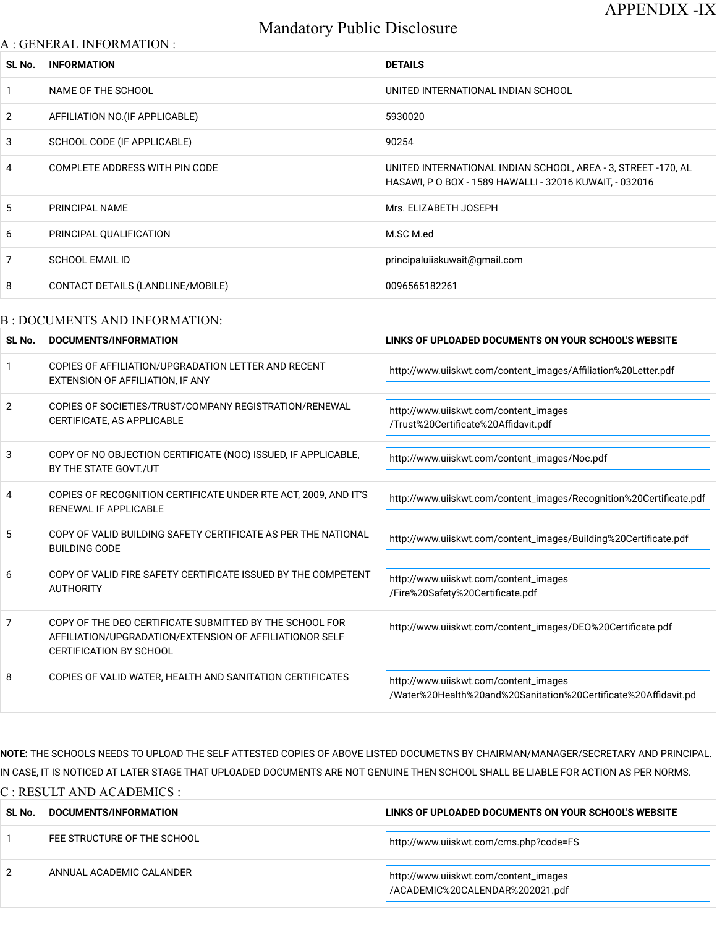# Mandatory Public Disclosure

#### A : GENERAL INFORMATION :

| SL No.         | <b>INFORMATION</b>                | <b>DETAILS</b>                                                                                                           |
|----------------|-----------------------------------|--------------------------------------------------------------------------------------------------------------------------|
| $\overline{1}$ | NAME OF THE SCHOOL                | UNITED INTERNATIONAL INDIAN SCHOOL                                                                                       |
| 2              | AFFILIATION NO. (IF APPLICABLE)   | 5930020                                                                                                                  |
| 3              | SCHOOL CODE (IF APPLICABLE)       | 90254                                                                                                                    |
| $\overline{4}$ | COMPLETE ADDRESS WITH PIN CODE    | UNITED INTERNATIONAL INDIAN SCHOOL, AREA - 3, STREET -170, AL<br>HASAWI, P O BOX - 1589 HAWALLI - 32016 KUWAIT, - 032016 |
| 5              | PRINCIPAL NAME                    | Mrs. ELIZABETH JOSEPH                                                                                                    |
| 6              | PRINCIPAL QUALIFICATION           | M.SC M.ed                                                                                                                |
| $\overline{7}$ | <b>SCHOOL EMAIL ID</b>            | principaluiiskuwait@gmail.com                                                                                            |
| 8              | CONTACT DETAILS (LANDLINE/MOBILE) | 0096565182261                                                                                                            |

#### B : DOCUMENTS AND INFORMATION:

| SL No. | DOCUMENTS/INFORMATION                                                                                                                                | LINKS OF UPLOADED DOCUMENTS ON YOUR SCHOOL'S WEBSITE                                                     |  |
|--------|------------------------------------------------------------------------------------------------------------------------------------------------------|----------------------------------------------------------------------------------------------------------|--|
| -1     | COPIES OF AFFILIATION/UPGRADATION LETTER AND RECENT<br>EXTENSION OF AFFILIATION, IF ANY                                                              | http://www.uiiskwt.com/content_images/Affiliation%20Letter.pdf                                           |  |
| 2      | COPIES OF SOCIETIES/TRUST/COMPANY REGISTRATION/RENEWAL<br>CERTIFICATE, AS APPLICABLE                                                                 | http://www.uiiskwt.com/content_images<br>/Trust%20Certificate%20Affidavit.pdf                            |  |
| 3      | COPY OF NO OBJECTION CERTIFICATE (NOC) ISSUED, IF APPLICABLE,<br>BY THE STATE GOVT./UT                                                               | http://www.uiiskwt.com/content_images/Noc.pdf                                                            |  |
| 4      | COPIES OF RECOGNITION CERTIFICATE UNDER RTE ACT, 2009, AND IT'S<br>RENEWAL IF APPLICABLE                                                             | http://www.uiiskwt.com/content_images/Recognition%20Certificate.pdf                                      |  |
| 5      | COPY OF VALID BUILDING SAFETY CERTIFICATE AS PER THE NATIONAL<br><b>BUILDING CODE</b>                                                                | http://www.uiiskwt.com/content_images/Building%20Certificate.pdf                                         |  |
| 6      | COPY OF VALID FIRE SAFETY CERTIFICATE ISSUED BY THE COMPETENT<br><b>AUTHORITY</b>                                                                    | http://www.uiiskwt.com/content_images<br>/Fire%20Safety%20Certificate.pdf                                |  |
| 7      | COPY OF THE DEO CERTIFICATE SUBMITTED BY THE SCHOOL FOR<br>AFFILIATION/UPGRADATION/EXTENSION OF AFFILIATIONOR SELF<br><b>CERTIFICATION BY SCHOOL</b> | http://www.uiiskwt.com/content_images/DEO%20Certificate.pdf                                              |  |
| 8      | COPIES OF VALID WATER, HEALTH AND SANITATION CERTIFICATES                                                                                            | http://www.uiiskwt.com/content_images<br>/Water%20Health%20and%20Sanitation%20Certificate%20Affidavit.pd |  |

NOTE: THE SCHOOLS NEEDS TO UPLOAD THE SELF ATTESTED COPIES OF ABOVE LISTED DOCUMETNS BY CHAIRMAN/MANAGER/SECRETARY AND PRINCIPAL. IN CASE, IT IS NOTICED AT LATER STAGE THAT UPLOADED DOCUMENTS ARE NOT GENUINE THEN SCHOOL SHALL BE LIABLE FOR ACTION AS PER NORMS.

C : RESULT AND ACADEMICS :

| SL No.                | <b>DOCUMENTS/INFORMATION</b> | LINKS OF UPLOADED DOCUMENTS ON YOUR SCHOOL'S WEBSITE                     |
|-----------------------|------------------------------|--------------------------------------------------------------------------|
|                       | FEE STRUCTURE OF THE SCHOOL  | http://www.uiiskwt.com/cms.php?code=FS                                   |
| $\mathbf{2}^{\prime}$ | ANNUAL ACADEMIC CALANDER     | http://www.uiiskwt.com/content_images<br>/ACADEMIC%20CALENDAR%202021.pdf |